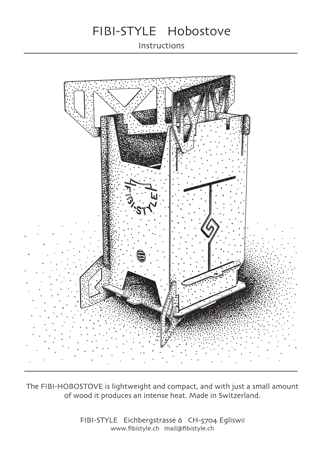# FIBI-STYLE Hobostove

Instructions



The FIBI-HOBOSTOVE is lightweight and compact, and with just a small amount of wood it produces an intense heat. Made in Switzerland.

> FIBI-STYLE Eichbergstrasse 6 CH-5704 Egliswil www.fibistyle.ch mail@fibistyle.ch